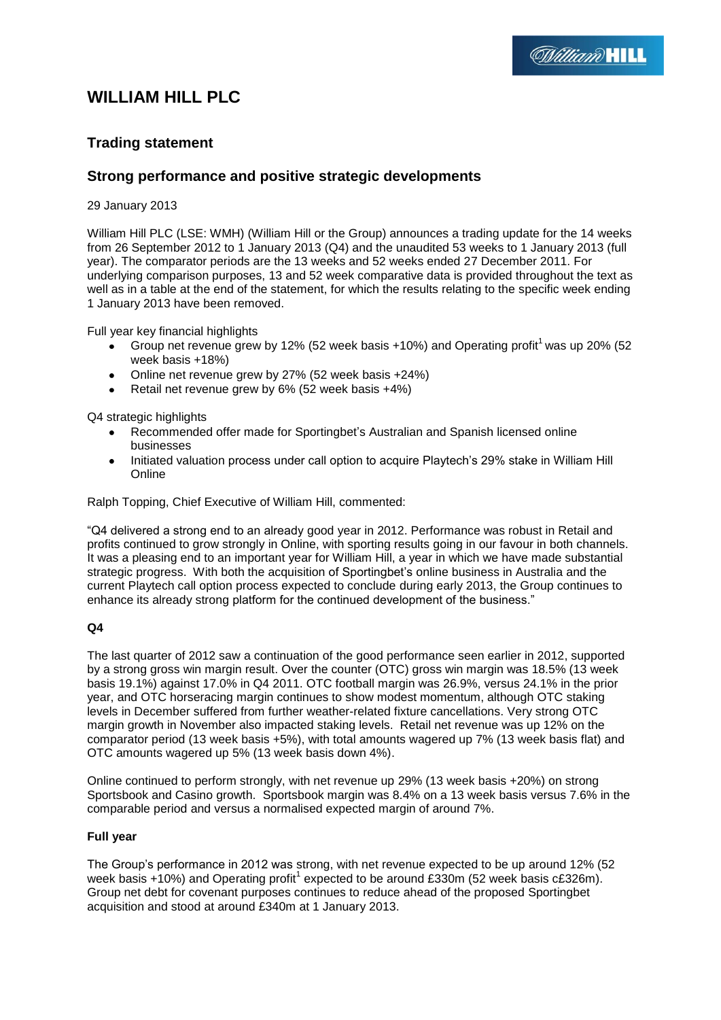# **WILLIAM HILL PLC**

# **Trading statement**

# **Strong performance and positive strategic developments**

29 January 2013

William Hill PLC (LSE: WMH) (William Hill or the Group) announces a trading update for the 14 weeks from 26 September 2012 to 1 January 2013 (Q4) and the unaudited 53 weeks to 1 January 2013 (full year). The comparator periods are the 13 weeks and 52 weeks ended 27 December 2011. For underlying comparison purposes, 13 and 52 week comparative data is provided throughout the text as well as in a table at the end of the statement, for which the results relating to the specific week ending 1 January 2013 have been removed.

Full year key financial highlights

- Group net revenue grew by 12% (52 week basis  $+10\%$ ) and Operating profit<sup>1</sup> was up 20% (52  $\bullet$ week basis +18%)
- Online net revenue grew by 27% (52 week basis +24%)  $\bullet$
- Retail net revenue grew by 6% (52 week basis +4%)

Q4 strategic highlights

- Recommended offer made for Sportingbet's Australian and Spanish licensed online businesses
- Initiated valuation process under call option to acquire Playtech's 29% stake in William Hill  $\bullet$ Online

Ralph Topping, Chief Executive of William Hill, commented:

"Q4 delivered a strong end to an already good year in 2012. Performance was robust in Retail and profits continued to grow strongly in Online, with sporting results going in our favour in both channels. It was a pleasing end to an important year for William Hill, a year in which we have made substantial strategic progress. With both the acquisition of Sportingbet's online business in Australia and the current Playtech call option process expected to conclude during early 2013, the Group continues to enhance its already strong platform for the continued development of the business."

#### **Q4**

The last quarter of 2012 saw a continuation of the good performance seen earlier in 2012, supported by a strong gross win margin result. Over the counter (OTC) gross win margin was 18.5% (13 week basis 19.1%) against 17.0% in Q4 2011. OTC football margin was 26.9%, versus 24.1% in the prior year, and OTC horseracing margin continues to show modest momentum, although OTC staking levels in December suffered from further weather-related fixture cancellations. Very strong OTC margin growth in November also impacted staking levels. Retail net revenue was up 12% on the comparator period (13 week basis +5%), with total amounts wagered up 7% (13 week basis flat) and OTC amounts wagered up 5% (13 week basis down 4%).

Online continued to perform strongly, with net revenue up 29% (13 week basis +20%) on strong Sportsbook and Casino growth. Sportsbook margin was 8.4% on a 13 week basis versus 7.6% in the comparable period and versus a normalised expected margin of around 7%.

#### **Full year**

The Group's performance in 2012 was strong, with net revenue expected to be up around 12% (52 week basis +10%) and Operating profit<sup>1</sup> expected to be around £330m (52 week basis c£326m). Group net debt for covenant purposes continues to reduce ahead of the proposed Sportingbet acquisition and stood at around £340m at 1 January 2013.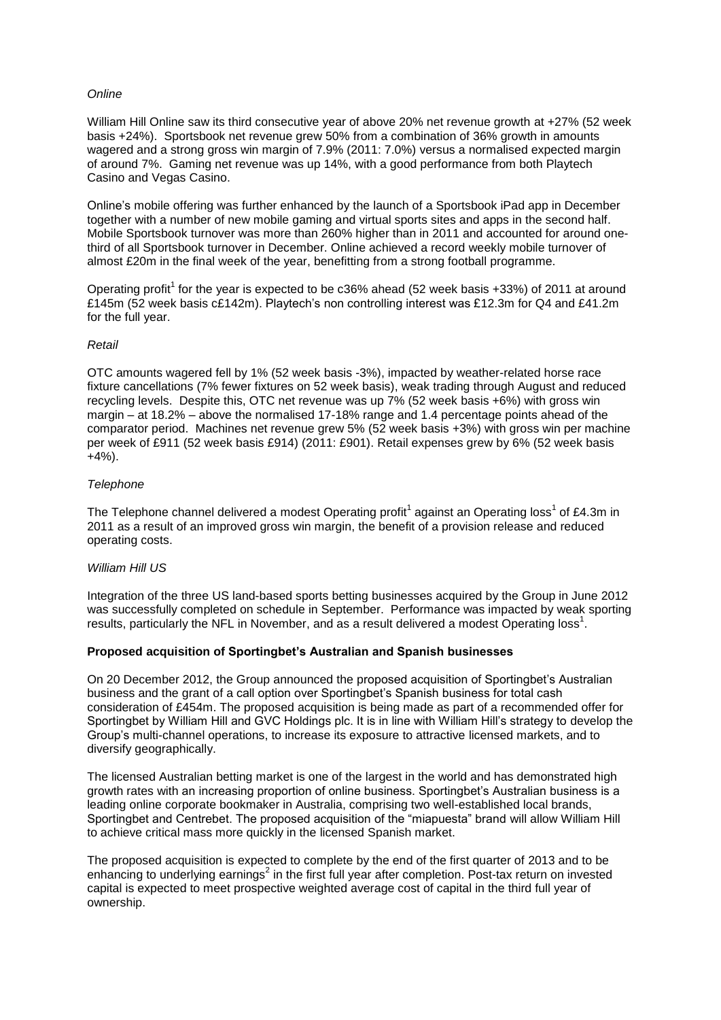# *Online*

William Hill Online saw its third consecutive year of above 20% net revenue growth at +27% (52 week basis +24%). Sportsbook net revenue grew 50% from a combination of 36% growth in amounts wagered and a strong gross win margin of 7.9% (2011: 7.0%) versus a normalised expected margin of around 7%. Gaming net revenue was up 14%, with a good performance from both Playtech Casino and Vegas Casino.

Online's mobile offering was further enhanced by the launch of a Sportsbook iPad app in December together with a number of new mobile gaming and virtual sports sites and apps in the second half. Mobile Sportsbook turnover was more than 260% higher than in 2011 and accounted for around onethird of all Sportsbook turnover in December. Online achieved a record weekly mobile turnover of almost £20m in the final week of the year, benefitting from a strong football programme.

Operating profit<sup>1</sup> for the year is expected to be c36% ahead (52 week basis  $+33%$ ) of 2011 at around £145m (52 week basis c£142m). Playtech's non controlling interest was £12.3m for Q4 and £41.2m for the full year.

#### *Retail*

OTC amounts wagered fell by 1% (52 week basis -3%), impacted by weather-related horse race fixture cancellations (7% fewer fixtures on 52 week basis), weak trading through August and reduced recycling levels. Despite this, OTC net revenue was up 7% (52 week basis +6%) with gross win margin – at 18.2% – above the normalised 17-18% range and 1.4 percentage points ahead of the comparator period. Machines net revenue grew 5% (52 week basis +3%) with gross win per machine per week of £911 (52 week basis £914) (2011: £901). Retail expenses grew by 6% (52 week basis  $+4%$ ).

# *Telephone*

The Telephone channel delivered a modest Operating profit<sup>1</sup> against an Operating loss<sup>1</sup> of £4.3m in 2011 as a result of an improved gross win margin, the benefit of a provision release and reduced operating costs.

#### *William Hill US*

Integration of the three US land-based sports betting businesses acquired by the Group in June 2012 was successfully completed on schedule in September. Performance was impacted by weak sporting results, particularly the NFL in November, and as a result delivered a modest Operating loss<sup>1</sup>.

#### **Proposed acquisition of Sportingbet's Australian and Spanish businesses**

On 20 December 2012, the Group announced the proposed acquisition of Sportingbet's Australian business and the grant of a call option over Sportingbet's Spanish business for total cash consideration of £454m. The proposed acquisition is being made as part of a recommended offer for Sportingbet by William Hill and GVC Holdings plc. It is in line with William Hill's strategy to develop the Group's multi-channel operations, to increase its exposure to attractive licensed markets, and to diversify geographically.

The licensed Australian betting market is one of the largest in the world and has demonstrated high growth rates with an increasing proportion of online business. Sportingbet's Australian business is a leading online corporate bookmaker in Australia, comprising two well-established local brands, Sportingbet and Centrebet. The proposed acquisition of the "miapuesta" brand will allow William Hill to achieve critical mass more quickly in the licensed Spanish market.

The proposed acquisition is expected to complete by the end of the first quarter of 2013 and to be enhancing to underlying earnings<sup>2</sup> in the first full year after completion. Post-tax return on invested capital is expected to meet prospective weighted average cost of capital in the third full year of ownership.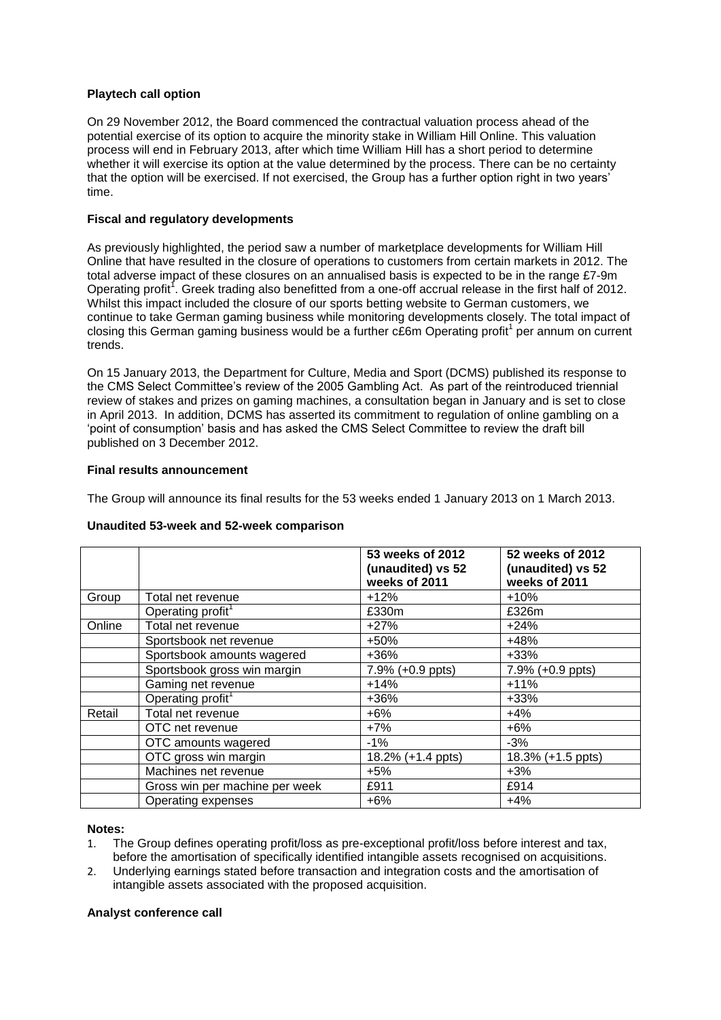# **Playtech call option**

On 29 November 2012, the Board commenced the contractual valuation process ahead of the potential exercise of its option to acquire the minority stake in William Hill Online. This valuation process will end in February 2013, after which time William Hill has a short period to determine whether it will exercise its option at the value determined by the process. There can be no certainty that the option will be exercised. If not exercised, the Group has a further option right in two years' time.

# **Fiscal and regulatory developments**

As previously highlighted, the period saw a number of marketplace developments for William Hill Online that have resulted in the closure of operations to customers from certain markets in 2012. The total adverse impact of these closures on an annualised basis is expected to be in the range £7-9m Operating profit<sup>1</sup>. Greek trading also benefitted from a one-off accrual release in the first half of 2012. Whilst this impact included the closure of our sports betting website to German customers, we continue to take German gaming business while monitoring developments closely. The total impact of closing this German gaming business would be a further  $c\tilde{\epsilon}$ 6m Operating profit<sup>1</sup> per annum on current trends.

On 15 January 2013, the Department for Culture, Media and Sport (DCMS) published its response to the CMS Select Committee's review of the 2005 Gambling Act. As part of the reintroduced triennial review of stakes and prizes on gaming machines, a consultation began in January and is set to close in April 2013. In addition, DCMS has asserted its commitment to regulation of online gambling on a 'point of consumption' basis and has asked the CMS Select Committee to review the draft bill published on 3 December 2012.

# **Final results announcement**

The Group will announce its final results for the 53 weeks ended 1 January 2013 on 1 March 2013.

#### **Unaudited 53-week and 52-week comparison**

|        |                                | 53 weeks of 2012<br>(unaudited) vs 52<br>weeks of 2011 | 52 weeks of 2012<br>(unaudited) vs 52<br>weeks of 2011 |
|--------|--------------------------------|--------------------------------------------------------|--------------------------------------------------------|
| Group  | Total net revenue              | $+12%$                                                 | $+10%$                                                 |
|        | Operating profit <sup>1</sup>  | £330m                                                  | £326m                                                  |
| Online | Total net revenue              | $+27%$                                                 | $+24%$                                                 |
|        | Sportsbook net revenue         | +50%                                                   | $+48%$                                                 |
|        | Sportsbook amounts wagered     | $+36%$                                                 | $+33%$                                                 |
|        | Sportsbook gross win margin    | 7.9% (+0.9 ppts)                                       | 7.9% (+0.9 ppts)                                       |
|        | Gaming net revenue             | $+14%$                                                 | $+11%$                                                 |
|        | Operating profit <sup>1</sup>  | $+36%$                                                 | $+33%$                                                 |
| Retail | Total net revenue              | $+6%$                                                  | $+4%$                                                  |
|        | OTC net revenue                | $+7%$                                                  | $+6%$                                                  |
|        | OTC amounts wagered            | $-1%$                                                  | $-3%$                                                  |
|        | OTC gross win margin           | 18.2% (+1.4 ppts)                                      | 18.3% (+1.5 ppts)                                      |
|        | Machines net revenue           | $+5%$                                                  | $+3%$                                                  |
|        | Gross win per machine per week | £911                                                   | £914                                                   |
|        | Operating expenses             | $+6%$                                                  | $+4%$                                                  |

#### **Notes:**

- 1. The Group defines operating profit/loss as pre-exceptional profit/loss before interest and tax, before the amortisation of specifically identified intangible assets recognised on acquisitions.
- 2. Underlying earnings stated before transaction and integration costs and the amortisation of intangible assets associated with the proposed acquisition.

#### **Analyst conference call**